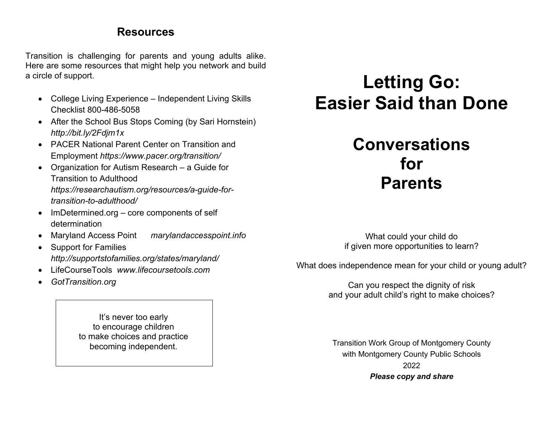### **Resources**

Transition is challenging for parents and young adults alike. Here are some resources that might help you network and build a circle of support.

- College Living Experience Independent Living Skills Checklist 800-486-5058
- After the School Bus Stops Coming (by Sari Hornstein) *http://bit.ly/2Fdjm1x*
- PACER National Parent Center on Transition and Employment *https://www.pacer.org/transition/*
- Organization for Autism Research a Guide for Transition to Adulthood *https://researchautism.org/resources/a-guide-fortransition-to-adulthood/*
- ImDetermined.org core components of self determination
- Maryland Access Point *marylandaccesspoint.info*
- Support for Families *http://supportstofamilies.org/states/maryland/*
- LifeCourseTools *www.lifecoursetools.com*
- *GotTransition.org*

It's never too early to encourage children to make choices and practice becoming independent.

# **Letting Go: Easier Said than Done**

## **Conversations for Parents**

What could your child do if given more opportunities to learn?

What does independence mean for your child or young adult?

Can you respect the dignity of risk and your adult child's right to make choices?

Transition Work Group of Montgomery County with Montgomery County Public Schools 2022 *Please copy and share*